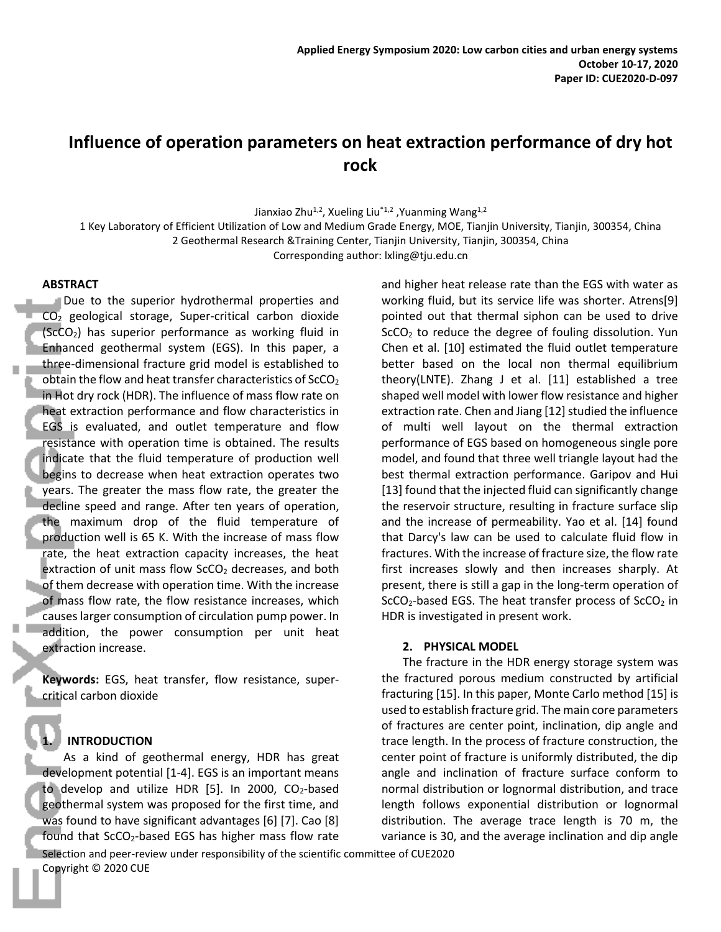# **Influence of operation parameters on heat extraction performance of dry hot rock**

Jianxiao Zhu<sup>1,2</sup>, Xueling Liu<sup>\*1,2</sup>, Yuanming Wang<sup>1,2</sup>

1 Key Laboratory of Efficient Utilization of Low and Medium Grade Energy, MOE, Tianjin University, Tianjin, 300354, China 2 Geothermal Research &Training Center, Tianjin University, Tianjin, 300354, China

Corresponding author: lxling@tju.edu.cn

#### **ABSTRACT**

Due to the superior hydrothermal properties and  $CO<sub>2</sub>$  geological storage, Super-critical carbon dioxide  $(ScCO<sub>2</sub>)$  has superior performance as working fluid in Enhanced geothermal system (EGS). In this paper, a three-dimensional fracture grid model is established to obtain the flow and heat transfer characteristics of  $SCO<sub>2</sub>$ in Hot dry rock (HDR). The influence of mass flow rate on heat extraction performance and flow characteristics in EGS is evaluated, and outlet temperature and flow resistance with operation time is obtained. The results indicate that the fluid temperature of production well begins to decrease when heat extraction operates two years. The greater the mass flow rate, the greater the decline speed and range. After ten years of operation, the maximum drop of the fluid temperature of production well is 65 K. With the increase of mass flow rate, the heat extraction capacity increases, the heat extraction of unit mass flow ScCO<sub>2</sub> decreases, and both of them decrease with operation time. With the increase of mass flow rate, the flow resistance increases, which causes larger consumption of circulation pump power. In addition, the power consumption per unit heat extraction increase.

**Keywords:** EGS, heat transfer, flow resistance, supercritical carbon dioxide

## **1. INTRODUCTION**

As a kind of geothermal energy, HDR has great development potential [1-4]. EGS is an important means to develop and utilize HDR  $[5]$ . In 2000, CO<sub>2</sub>-based geothermal system was proposed for the first time, and was found to have significant advantages [6] [7]. Cao [8] found that  $SCO<sub>2</sub>$ -based EGS has higher mass flow rate

and higher heat release rate than the EGS with water as working fluid, but its service life was shorter. Atrens[9] pointed out that thermal siphon can be used to drive  $SCO<sub>2</sub>$  to reduce the degree of fouling dissolution. Yun Chen et al. [10] estimated the fluid outlet temperature better based on the local non thermal equilibrium theory(LNTE). Zhang J et al. [11] established a tree shaped well model with lower flow resistance and higher extraction rate. Chen and Jiang [12] studied the influence of multi well layout on the thermal extraction performance of EGS based on homogeneous single pore model, and found that three well triangle layout had the best thermal extraction performance. Garipov and Hui [13] found that the injected fluid can significantly change the reservoir structure, resulting in fracture surface slip and the increase of permeability. Yao et al. [14] found that Darcy's law can be used to calculate fluid flow in fractures. With the increase of fracture size, the flow rate first increases slowly and then increases sharply. At present, there is still a gap in the long-term operation of  $SCO<sub>2</sub>$ -based EGS. The heat transfer process of ScCO<sub>2</sub> in HDR is investigated in present work.

## **2. PHYSICAL MODEL**

The fracture in the HDR energy storage system was the fractured porous medium constructed by artificial fracturing [15]. In this paper, Monte Carlo method [15] is used to establish fracture grid. The main core parameters of fractures are center point, inclination, dip angle and trace length. In the process of fracture construction, the center point of fracture is uniformly distributed, the dip angle and inclination of fracture surface conform to normal distribution or lognormal distribution, and trace length follows exponential distribution or lognormal distribution. The average trace length is 70 m, the variance is 30, and the average inclination and dip angle

Selection and peer-review under responsibility of the scientific committee of CUE2020 Copyright © 2020 CUE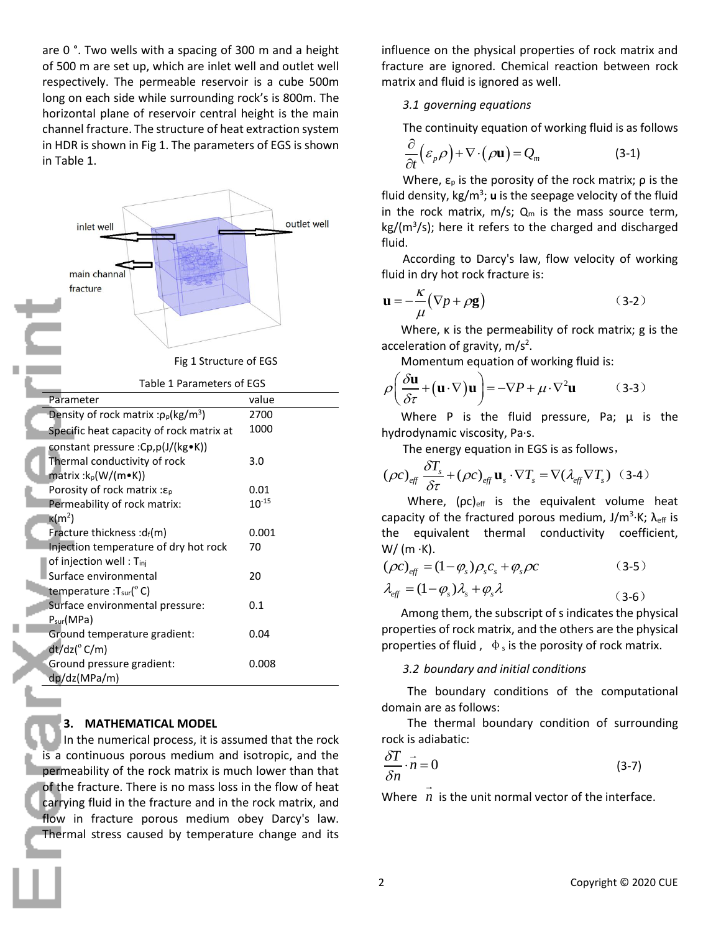are 0 °. Two wells with a spacing of 300 m and a height of 500 m are set up, which are inlet well and outlet well respectively. The permeable reservoir is a cube 500m long on each side while surrounding rock's is 800m. The horizontal plane of reservoir central height is the main channel fracture. The structure of heat extraction system in HDR is shown in Fig 1. The parameters of EGS is shown in Table 1.



# **3. MATHEMATICAL MODEL**

In the numerical process, it is assumed that the rock is a continuous porous medium and isotropic, and the permeability of the rock matrix is much lower than that of the fracture. There is no mass loss in the flow of heat carrying fluid in the fracture and in the rock matrix, and flow in fracture porous medium obey Darcy's law. Thermal stress caused by temperature change and its

influence on the physical properties of rock matrix and fracture are ignored. Chemical reaction between rock matrix and fluid is ignored as well.

## *3.1 governing equations*

The continuity equation of working fluid is as follows

$$
\frac{\partial}{\partial t} \left( \varepsilon_p \rho \right) + \nabla \cdot \left( \rho \mathbf{u} \right) = Q_m \tag{3-1}
$$

Where,  $\varepsilon_{p}$  is the porosity of the rock matrix;  $\rho$  is the fluid density, kg/m<sup>3</sup>; **u** is the seepage velocity of the fluid in the rock matrix,  $m/s$ ;  $Q_m$  is the mass source term, kg/(m<sup>3</sup>/s); here it refers to the charged and discharged fluid.

According to Darcy's law, flow velocity of working fluid in dry hot rock fracture is:

$$
\mathbf{u} = -\frac{\kappa}{\mu} (\nabla p + \rho \mathbf{g}) \tag{3-2}
$$

Where, κ is the permeability of rock matrix; g is the acceleration of gravity,  $m/s<sup>2</sup>$ .

Momentum equation of working fluid is:  
\n
$$
\rho \left( \frac{\partial \mathbf{u}}{\partial \tau} + (\mathbf{u} \cdot \nabla) \mathbf{u} \right) = -\nabla P + \mu \cdot \nabla^2 \mathbf{u}
$$
\n(3-3)

Where P is the fluid pressure, Pa;  $\mu$  is the hydrodynamic viscosity, Pa·s.

The energy equation in EGS is as follows,  
\n
$$
(\rho c)_{\text{eff}} \frac{\delta T_s}{\delta \tau} + (\rho c)_{\text{eff}} \mathbf{u}_s \cdot \nabla T_s = \nabla (\lambda_{\text{eff}} \nabla T_s)
$$
 (3-4)

Where,  $(pc)_{\text{eff}}$  is the equivalent volume heat capacity of the fractured porous medium, J/m<sup>3</sup>·K;  $\lambda$ <sub>eff</sub> is the equivalent thermal conductivity coefficient,  $W/(m \cdot K)$ .

$$
\left(\rho c\right)_{\text{eff}} = (1 - \varphi_s)\rho_s c_s + \varphi_s \rho c \tag{3-5}
$$

$$
\lambda_{\text{eff}} = (1 - \varphi_s) \lambda_s + \varphi_s \lambda \tag{3-6}
$$

Among them, the subscript of s indicates the physical properties of rock matrix, and the others are the physical properties of fluid,  $\phi_s$  is the porosity of rock matrix.

## *3.2 boundary and initial conditions*

The boundary conditions of the computational domain are as follows:

The thermal boundary condition of surrounding rock is adiabatic:

$$
\frac{\delta T}{\delta n} \cdot \vec{n} = 0 \tag{3-7}
$$

Where  $n$  is the unit normal vector of the interface.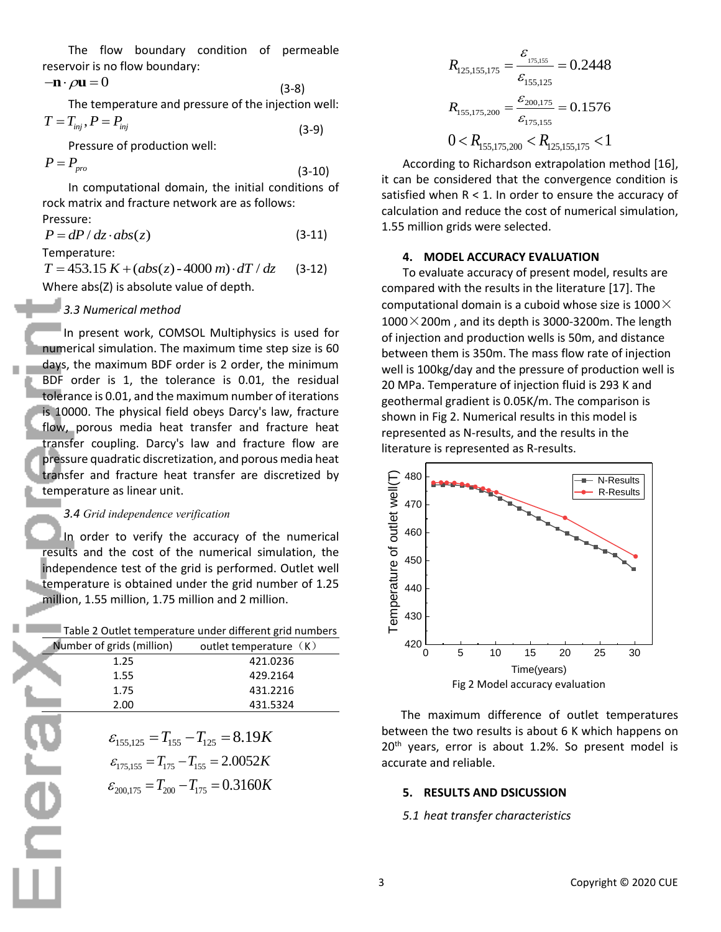The flow boundary condition of permeable reservoir is no flow boundary:<br> $-\mathbf{n} \cdot \rho \mathbf{u} = 0$ 

$$
-\mathbf{n} \cdot \rho \mathbf{u} = 0
$$
\n(3-8)

\nThe temperature and pressure of the injection well:

\n
$$
T = T_{inj}, P = P_{inj}
$$
\n(3-9)

Pressure of production well:

 $P = P_{\text{pro}}$ 

$$
1 + P_{pro}
$$
\nIn computational domain, the initial conditions of rock matrix and fracture network are as follows:

\nPressure:

(3-9)

 $P = dP / dz \cdot abs(z)$  (3-11)

Temperature:

**Contract Contract** 

 $T = 453.15 K + (abs(z) - 4000 m) \cdot dT / dz$ (3-12) Where abs(Z) is absolute value of depth.

# *3.3 Numerical method*

In present work, COMSOL Multiphysics is used for numerical simulation. The maximum time step size is 60 days, the maximum BDF order is 2 order, the minimum BDF order is 1, the tolerance is 0.01, the residual tolerance is 0.01, and the maximum number of iterations is 10000. The physical field obeys Darcy's law, fracture flow, porous media heat transfer and fracture heat transfer coupling. Darcy's law and fracture flow are pressure quadratic discretization, and porous media heat transfer and fracture heat transfer are discretized by temperature as linear unit.

## *3.4 Grid independence verification*

In order to verify the accuracy of the numerical results and the cost of the numerical simulation, the independence test of the grid is performed. Outlet well temperature is obtained under the grid number of 1.25 million, 1.55 million, 1.75 million and 2 million.

| Number of grids (million) | outlet temperature (K)                                                                                                                                                |
|---------------------------|-----------------------------------------------------------------------------------------------------------------------------------------------------------------------|
| 1.25                      | 421.0236                                                                                                                                                              |
| 1.55                      | 429.2164                                                                                                                                                              |
| 1.75                      | 431.2216                                                                                                                                                              |
| 2.00                      | 431.5324                                                                                                                                                              |
|                           | $\varepsilon_{155,125} = T_{155} - T_{125} = 8.19K$<br>$\varepsilon_{175,155} = T_{175} - T_{155} = 2.0052K$<br>$\varepsilon_{200,175} = T_{200} - T_{175} = 0.3160K$ |

$$
\varepsilon_{155,125} = T_{155} - T_{125} = 8.19K
$$

$$
\varepsilon_{175,155} = T_{175} - T_{155} = 2.0052K
$$

$$
\varepsilon_{200,175} = T_{200} - T_{175} = 0.3160K
$$

$$
R_{125,155,175} = \frac{\varepsilon_{175,155}}{\varepsilon_{155,125}} = 0.2448
$$

$$
R_{155,175,200} = \frac{\varepsilon_{200,175}}{\varepsilon_{175,155}} = 0.1576
$$

$$
0 < R_{155,175,200} < R_{125,155,175} < 1
$$

According to Richardson extrapolation method [16], it can be considered that the convergence condition is satisfied when  $R < 1$ . In order to ensure the accuracy of calculation and reduce the cost of numerical simulation, 1.55 million grids were selected.

## **4. MODEL ACCURACY EVALUATION**

To evaluate accuracy of present model, results are compared with the results in the literature [17]. The computational domain is a cuboid whose size is 1000 $\times$  $1000\times200$ m, and its depth is 3000-3200m. The length of injection and production wells is 50m, and distance between them is 350m. The mass flow rate of injection well is 100kg/day and the pressure of production well is 20 MPa. Temperature of injection fluid is 293 K and geothermal gradient is 0.05K/m. The comparison is shown in Fig 2. Numerical results in this model is represented as N-results, and the results in the literature is represented as R-results.



The maximum difference of outlet temperatures between the two results is about 6 K which happens on  $20<sup>th</sup>$  years, error is about 1.2%. So present model is accurate and reliable.

# **5. RESULTS AND DSICUSSION**

# *5.1 heat transfer characteristics*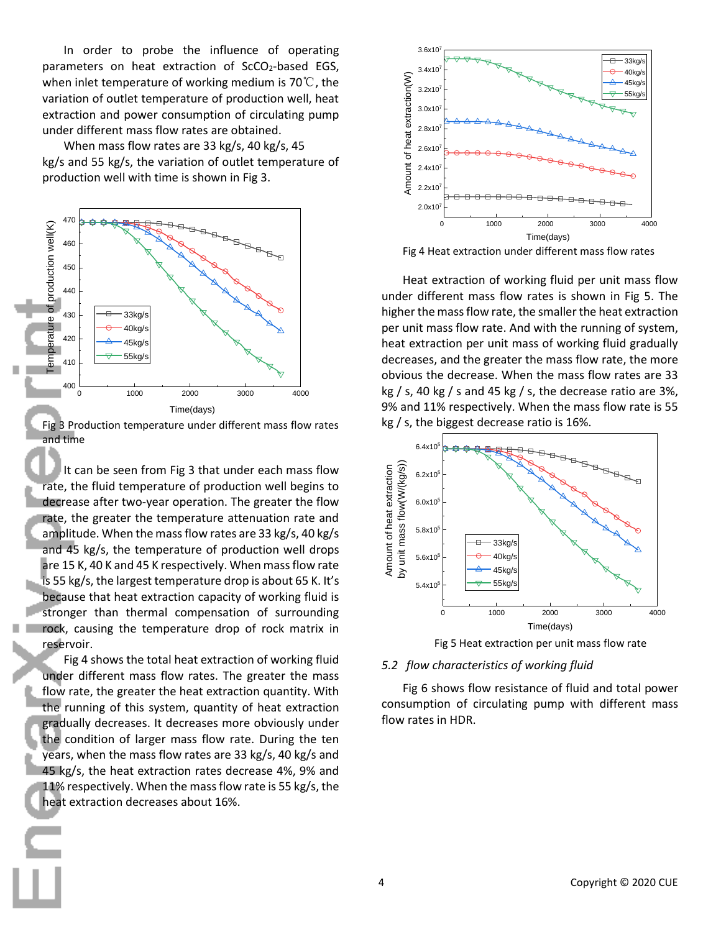In order to probe the influence of operating parameters on heat extraction of  $SCO<sub>2</sub>$ -based EGS, when inlet temperature of working medium is 70℃, the variation of outlet temperature of production well, heat extraction and power consumption of circulating pump under different mass flow rates are obtained.

When mass flow rates are 33 kg/s, 40 kg/s, 45 kg/s and 55 kg/s, the variation of outlet temperature of production well with time is shown in Fig 3.

![](_page_3_Figure_2.jpeg)

Fig 3 Production temperature under different mass flow rates and time

It can be seen from Fig 3 that under each mass flow rate, the fluid temperature of production well begins to decrease after two-year operation. The greater the flow rate, the greater the temperature attenuation rate and amplitude. When the mass flow rates are 33 kg/s, 40 kg/s and 45 kg/s, the temperature of production well drops are 15 K, 40 K and 45 K respectively. When mass flow rate is 55 kg/s, the largest temperature drop is about 65 K. It's because that heat extraction capacity of working fluid is stronger than thermal compensation of surrounding rock, causing the temperature drop of rock matrix in reservoir.

Fig 4 shows the total heat extraction of working fluid under different mass flow rates. The greater the mass flow rate, the greater the heat extraction quantity. With the running of this system, quantity of heat extraction gradually decreases. It decreases more obviously under the condition of larger mass flow rate. During the ten years, when the mass flow rates are 33 kg/s, 40 kg/s and 45 kg/s, the heat extraction rates decrease 4%, 9% and 11% respectively. When the mass flow rate is 55 kg/s, the heat extraction decreases about 16%.

![](_page_3_Figure_6.jpeg)

Fig 4 Heat extraction under different mass flow rates

Heat extraction of working fluid per unit mass flow under different mass flow rates is shown in Fig 5. The higher the mass flow rate, the smaller the heat extraction per unit mass flow rate. And with the running of system, heat extraction per unit mass of working fluid gradually decreases, and the greater the mass flow rate, the more obvious the decrease. When the mass flow rates are 33 kg  $/$  s, 40 kg  $/$  s and 45 kg  $/$  s, the decrease ratio are 3%, 9% and 11% respectively. When the mass flow rate is 55 kg / s, the biggest decrease ratio is 16%.

![](_page_3_Figure_9.jpeg)

![](_page_3_Figure_10.jpeg)

#### *5.2 flow characteristics of working fluid*

Fig 6 shows flow resistance of fluid and total power consumption of circulating pump with different mass flow rates in HDR.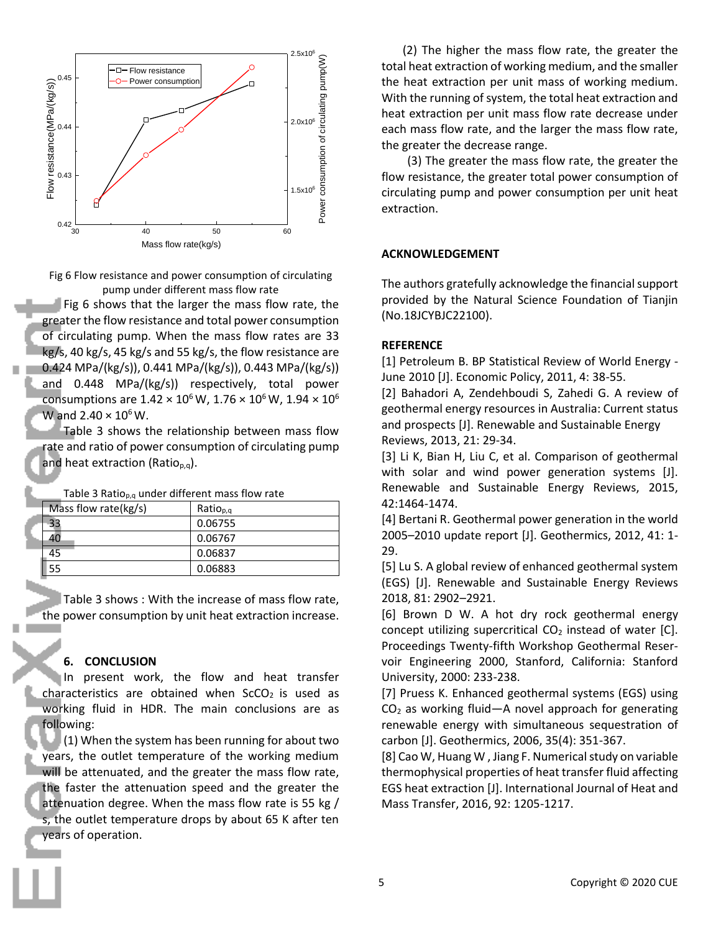![](_page_4_Figure_0.jpeg)

Fig 6 Flow resistance and power consumption of circulating pump under different mass flow rate

Fig 6 shows that the larger the mass flow rate, the greater the flow resistance and total power consumption of circulating pump. When the mass flow rates are 33 kg/s, 40 kg/s, 45 kg/s and 55 kg/s, the flow resistance are 0.424 MPa/(kg/s)), 0.441 MPa/(kg/s)), 0.443 MPa/(kg/s)) and 0.448 MPa/(kg/s)) respectively, total power consumptions are  $1.42 \times 10^6$  W,  $1.76 \times 10^6$  W,  $1.94 \times 10^6$ W and  $2.40 \times 10^6$  W.

Table 3 shows the relationship between mass flow rate and ratio of power consumption of circulating pump and heat extraction (Ratio<sub>p,q</sub>).

Table 3 Ratio $_{p,q}$  under different mass flow rate

| Mass flow rate(kg/s) | Ratio <sub>p,q</sub> |
|----------------------|----------------------|
|                      | 0.06755              |
|                      | 0.06767              |
| 45                   | 0.06837              |
| 55                   | 0.06883              |

Table 3 shows : With the increase of mass flow rate, the power consumption by unit heat extraction increase.

## **6. CONCLUSION**

In present work, the flow and heat transfer characteristics are obtained when  $SCO<sub>2</sub>$  is used as working fluid in HDR. The main conclusions are as following:

 $(1)$  When the system has been running for about two years, the outlet temperature of the working medium will be attenuated, and the greater the mass flow rate, the faster the attenuation speed and the greater the attenuation degree. When the mass flow rate is 55 kg / s, the outlet temperature drops by about 65 K after ten years of operation.

(2) The higher the mass flow rate, the greater the total heat extraction of working medium, and the smaller the heat extraction per unit mass of working medium. With the running of system, the total heat extraction and heat extraction per unit mass flow rate decrease under each mass flow rate, and the larger the mass flow rate, the greater the decrease range.

(3) The greater the mass flow rate, the greater the flow resistance, the greater total power consumption of circulating pump and power consumption per unit heat extraction.

#### **ACKNOWLEDGEMENT**

The authors gratefully acknowledge the financial support provided by the Natural Science Foundation of Tianjin (No.18JCYBJC22100).

#### **REFERENCE**

[1] Petroleum B. BP Statistical Review of World Energy - June 2010 [J]. Economic Policy, 2011, 4: 38-55.

[2] Bahadori A, Zendehboudi S, Zahedi G. A review of geothermal energy resources in Australia: Current status and prospects [J]. Renewable and Sustainable Energy Reviews, 2013, 21: 29-34.

[3] Li K, Bian H, Liu C, et al. Comparison of geothermal with solar and wind power generation systems [J]. Renewable and Sustainable Energy Reviews, 2015, 42:1464-1474.

[4] Bertani R. Geothermal power generation in the world 2005–2010 update report [J]. Geothermics, 2012, 41: 1- 29.

[5] Lu S. A global review of enhanced geothermal system (EGS) [J]. Renewable and Sustainable Energy Reviews 2018, 81: 2902–2921.

[6] Brown D W. A hot dry rock geothermal energy concept utilizing supercritical  $CO<sub>2</sub>$  instead of water [C]. Proceedings Twenty-fifth Workshop Geothermal Reservoir Engineering 2000, Stanford, California: Stanford University, 2000: 233-238.

[7] Pruess K. Enhanced geothermal systems (EGS) using  $CO<sub>2</sub>$  as working fluid—A novel approach for generating renewable energy with simultaneous sequestration of carbon [J]. Geothermics, 2006, 35(4): 351-367.

[8] Cao W, Huang W , Jiang F. Numerical study on variable thermophysical properties of heat transfer fluid affecting EGS heat extraction [J]. International Journal of Heat and Mass Transfer, 2016, 92: 1205-1217.